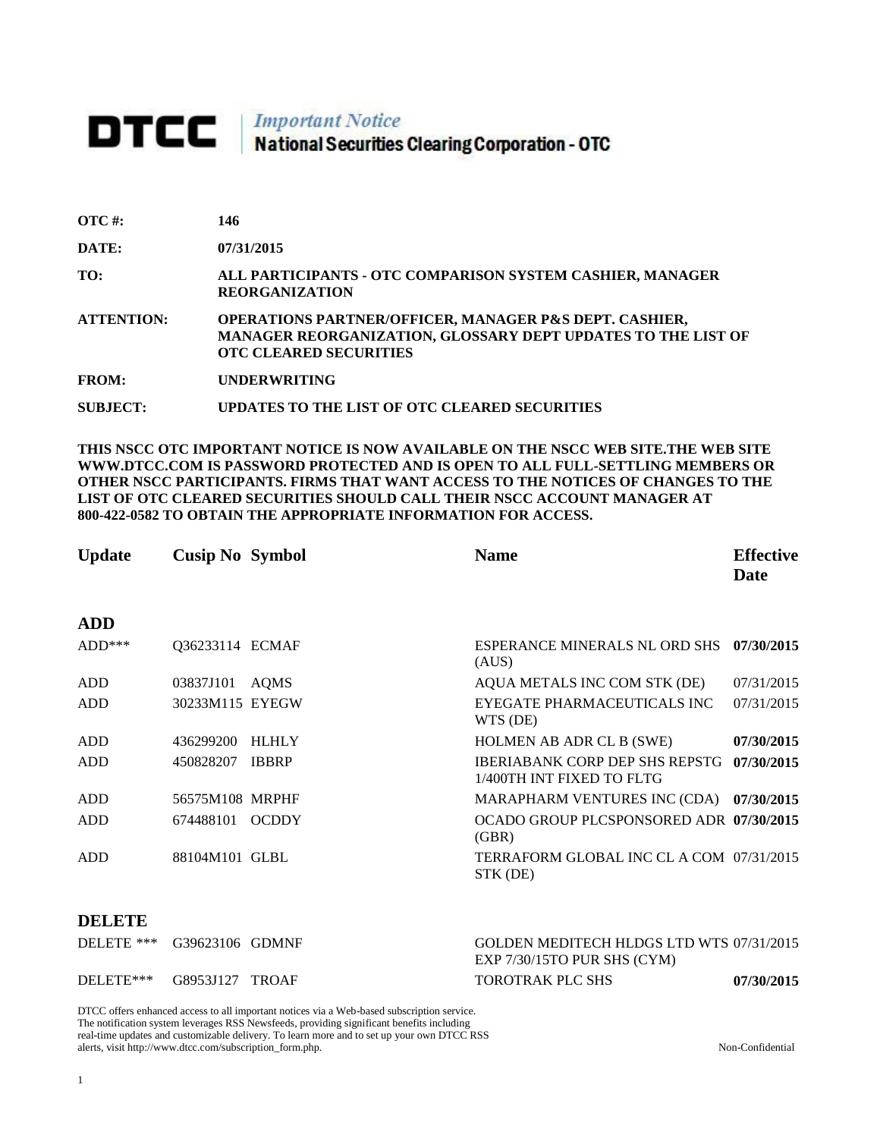## **DTCC** National Securities Clearing Corporation - OTC

| $\overline{OTC}$ #: | 146                                                                                                                                                                |
|---------------------|--------------------------------------------------------------------------------------------------------------------------------------------------------------------|
| DATE:               | 07/31/2015                                                                                                                                                         |
| TO:                 | ALL PARTICIPANTS - OTC COMPARISON SYSTEM CASHIER, MANAGER<br><b>REORGANIZATION</b>                                                                                 |
| <b>ATTENTION:</b>   | <b>OPERATIONS PARTNER/OFFICER, MANAGER P&amp;S DEPT. CASHIER,</b><br>MANAGER REORGANIZATION, GLOSSARY DEPT UPDATES TO THE LIST OF<br><b>OTC CLEARED SECURITIES</b> |
| <b>FROM:</b>        | <b>UNDERWRITING</b>                                                                                                                                                |
| <b>SUBJECT:</b>     | UPDATES TO THE LIST OF OTC CLEARED SECURITIES                                                                                                                      |

**THIS NSCC OTC IMPORTANT NOTICE IS NOW AVAILABLE ON THE NSCC WEB SITE.THE WEB SITE WWW.DTCC.COM IS PASSWORD PROTECTED AND IS OPEN TO ALL FULL-SETTLING MEMBERS OR OTHER NSCC PARTICIPANTS. FIRMS THAT WANT ACCESS TO THE NOTICES OF CHANGES TO THE LIST OF OTC CLEARED SECURITIES SHOULD CALL THEIR NSCC ACCOUNT MANAGER AT 800-422-0582 TO OBTAIN THE APPROPRIATE INFORMATION FOR ACCESS.** 

| <b>Update</b> | <b>Cusip No Symbol</b> |              | <b>Name</b>                                                 | <b>Effective</b><br>Date |
|---------------|------------------------|--------------|-------------------------------------------------------------|--------------------------|
| <b>ADD</b>    |                        |              |                                                             |                          |
| $ADD***$      | Q36233114 ECMAF        |              | ESPERANCE MINERALS NL ORD SHS<br>(AUS)                      | 07/30/2015               |
| ADD           | 03837J101              | AQMS         | AQUA METALS INC COM STK (DE)                                | 07/31/2015               |
| <b>ADD</b>    | 30233M115 EYEGW        |              | EYEGATE PHARMACEUTICALS INC<br>WTS (DE)                     | 07/31/2015               |
| <b>ADD</b>    | 436299200              | <b>HLHLY</b> | HOLMEN AB ADR CL B (SWE)                                    | 07/30/2015               |
| ADD           | 450828207              | <b>IBBRP</b> | IBERIABANK CORP DEP SHS REPSTG<br>1/400TH INT FIXED TO FLTG | 07/30/2015               |
| ADD           | 56575M108 MRPHF        |              | <b>MARAPHARM VENTURES INC (CDA)</b>                         | 07/30/2015               |
| <b>ADD</b>    | 674488101              | <b>OCDDY</b> | OCADO GROUP PLCSPONSORED ADR 07/30/2015<br>(GBR)            |                          |
| ADD           | 88104M101 GLBL         |              | TERRAFORM GLOBAL INC CL A COM 07/31/2015<br>STK (DE)        |                          |

## **DELETE**

| DELETE *** G39623106 GDMNF |  | GOLDEN MEDITECH HLDGS LTD WTS 07/31/2015<br>$EXP 7/30/15TO$ PUR SHS (CYM) |            |
|----------------------------|--|---------------------------------------------------------------------------|------------|
| DELETE*** G8953J127 TROAF  |  | <b>TOROTRAK PLC SHS</b>                                                   | 07/30/2015 |

DTCC offers enhanced access to all important notices via a Web-based subscription service. The notification system leverages RSS Newsfeeds, providing significant benefits including real-time updates and customizable delivery. To learn more and to set up your own DTCC RSS alerts, visit http://www.dtcc.com/subscription\_form.php. Non-Confidential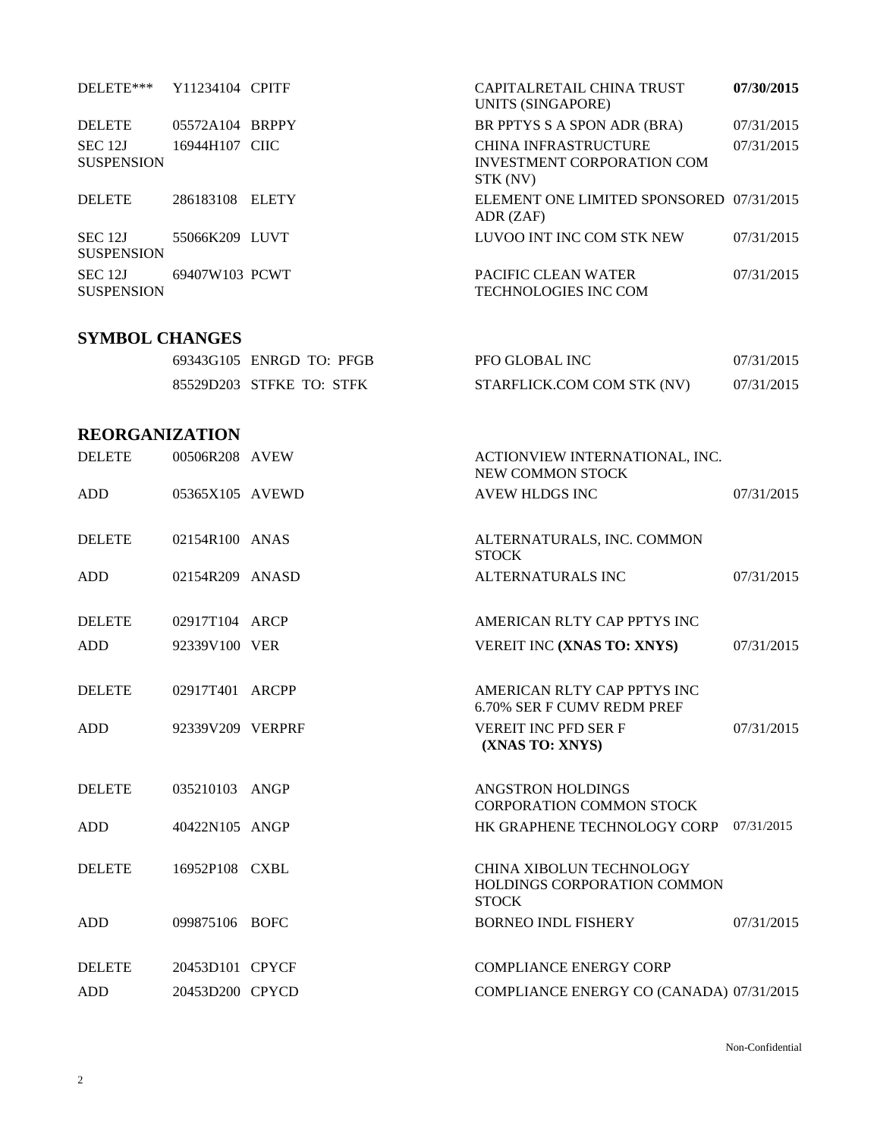| DELETE***                    | Y11234104 CPITF  |                          | CAPITALRETAIL CHINA TRUST<br><b>UNITS (SINGAPORE)</b>                   | 07/30/2015 |
|------------------------------|------------------|--------------------------|-------------------------------------------------------------------------|------------|
| <b>DELETE</b>                | 05572A104 BRPPY  |                          | BR PPTYS S A SPON ADR (BRA)                                             | 07/31/2015 |
| SEC 12J<br><b>SUSPENSION</b> | 16944H107 CIIC   |                          | CHINA INFRASTRUCTURE<br>INVESTMENT CORPORATION COM<br>STK (NV)          | 07/31/2015 |
| <b>DELETE</b>                | 286183108 ELETY  |                          | ELEMENT ONE LIMITED SPONSORED 07/31/2015<br>ADR (ZAF)                   |            |
| SEC 12J<br><b>SUSPENSION</b> | 55066K209 LUVT   |                          | LUVOO INT INC COM STK NEW                                               | 07/31/2015 |
| SEC 12J<br><b>SUSPENSION</b> | 69407W103 PCWT   |                          | PACIFIC CLEAN WATER<br>TECHNOLOGIES INC COM                             | 07/31/2015 |
| <b>SYMBOL CHANGES</b>        |                  |                          |                                                                         |            |
|                              |                  | 69343G105 ENRGD TO: PFGB | PFO GLOBAL INC                                                          | 07/31/2015 |
|                              |                  | 85529D203 STFKE TO: STFK | STARFLICK.COM COM STK (NV)                                              | 07/31/2015 |
| <b>REORGANIZATION</b>        |                  |                          |                                                                         |            |
| <b>DELETE</b>                | 00506R208 AVEW   |                          | ACTIONVIEW INTERNATIONAL, INC.<br>NEW COMMON STOCK                      |            |
| <b>ADD</b>                   | 05365X105 AVEWD  |                          | <b>AVEW HLDGS INC</b>                                                   | 07/31/2015 |
| <b>DELETE</b>                | 02154R100 ANAS   |                          | ALTERNATURALS, INC. COMMON<br><b>STOCK</b>                              |            |
| <b>ADD</b>                   | 02154R209 ANASD  |                          | ALTERNATURALS INC                                                       | 07/31/2015 |
| <b>DELETE</b>                | 02917T104 ARCP   |                          | AMERICAN RLTY CAP PPTYS INC                                             |            |
| <b>ADD</b>                   | 92339V100 VER    |                          | VEREIT INC (XNAS TO: XNYS)                                              | 07/31/2015 |
| <b>DELETE</b>                | 02917T401 ARCPP  |                          | AMERICAN RLTY CAP PPTYS INC<br>6.70% SER F CUMV REDM PREF               |            |
| ADD                          | 92339V209 VERPRF |                          | VEREIT INC PFD SER F<br>(XNAS TO: XNYS)                                 | 07/31/2015 |
| <b>DELETE</b>                | 035210103 ANGP   |                          | ANGSTRON HOLDINGS<br><b>CORPORATION COMMON STOCK</b>                    |            |
| <b>ADD</b>                   | 40422N105 ANGP   |                          | HK GRAPHENE TECHNOLOGY CORP                                             | 07/31/2015 |
| <b>DELETE</b>                | 16952P108 CXBL   |                          | CHINA XIBOLUN TECHNOLOGY<br>HOLDINGS CORPORATION COMMON<br><b>STOCK</b> |            |
| <b>ADD</b>                   | 099875106 BOFC   |                          | <b>BORNEO INDL FISHERY</b>                                              | 07/31/2015 |
| <b>DELETE</b>                | 20453D101 CPYCF  |                          | <b>COMPLIANCE ENERGY CORP</b>                                           |            |
| <b>ADD</b>                   | 20453D200 CPYCD  |                          | COMPLIANCE ENERGY CO (CANADA) 07/31/2015                                |            |